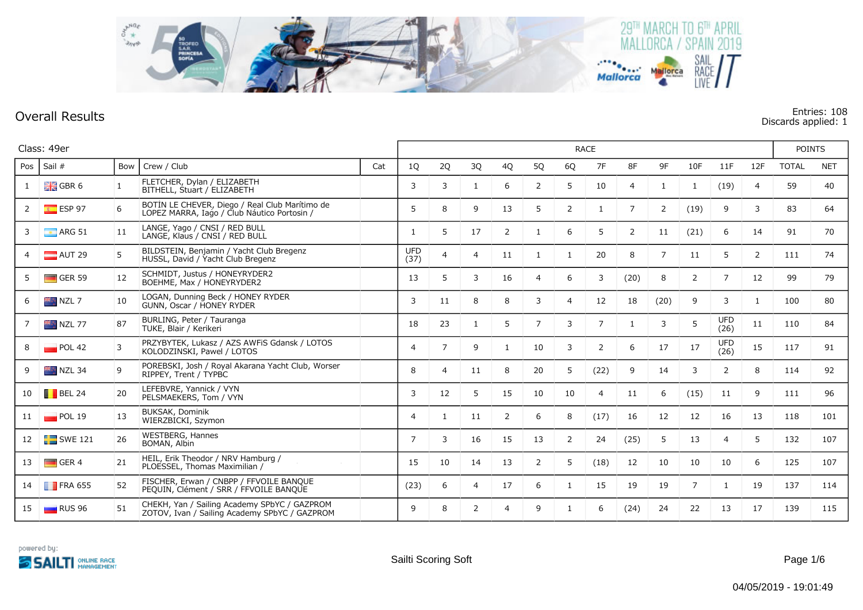

## **Overall Results Entries: 108 Discards applied: 1**

|     | Class: 49er            |     |                                                                                               |     |                          |                | <b>RACE</b>    |    |                |                |                |                |                |                |                    |                |              |            |
|-----|------------------------|-----|-----------------------------------------------------------------------------------------------|-----|--------------------------|----------------|----------------|----|----------------|----------------|----------------|----------------|----------------|----------------|--------------------|----------------|--------------|------------|
| Pos | Sail $#$               | Bow | Crew / Club                                                                                   | Cat | 1Q                       | 2Q             | 3Q             | 4Q | 5Q             | 6Q             | 7F             | 8F             | 9F             | 10F            | 11F                | 12F            | <b>TOTAL</b> | <b>NET</b> |
|     | $\frac{1}{2}$ GBR 6    | 1   | FLETCHER, Dylan / ELIZABETH<br>BITHELL, Stuart / ELIZABETH                                    |     | 3                        | 3              |                | 6  | 2              | 5              | 10             | $\overline{a}$ | 1              | 1              | (19)               | 4              | 59           | 40         |
| 2   | $E$ ESP 97             | 6   | BOTÍN LE CHEVER, Diego / Real Club Marítimo de<br>LÓPEZ MARRA, Iago / Club Náutico Portosin / |     | 5                        | 8              | 9              | 13 | 5              | $\overline{2}$ | -1             | 7              | 2              | (19)           | 9                  | 3              | 83           | 64         |
| 3   | $\blacksquare$ ARG 51  | 11  | LANGE, Yago / CNSI / RED BULL<br>LANGE, Klaus / CNSI / RED BULL                               |     | 1                        | 5              | 17             | 2  | 1              | 6              | 5              | 2              | 11             | (21)           | 6                  | 14             | 91           | 70         |
|     | $\blacksquare$ AUT 29  | 5   | BILDSTEIN, Benjamin / Yacht Club Bregenz<br>HUSSL, David / Yacht Club Bregenz                 |     | <b>UFD</b><br>(37)       | $\overline{4}$ | $\overline{4}$ | 11 | 1              | $\mathbf{1}$   | 20             | 8              | $\overline{7}$ | 11             | 5                  | $\overline{2}$ | 111          | 74         |
|     | $\blacksquare$ GER 59  | 12  | SCHMIDT, Justus / HONEYRYDER2<br>BOEHME, Max / HONEYRYDER2                                    |     | 13                       | 5              | 3              | 16 | 4              | 6              | 3              | (20)           | 8              | 2              | 7                  | 12             | 99           | 79         |
| 6   | <b>NZL 7</b>           | 10  | LOGAN, Dunning Beck / HONEY RYDER<br>GUNN, Oscar / HONEY RYDER                                |     | 3                        | 11             | 8              | 8  | 3              | 4              | 12             | 18             | (20)           | 9              | 3                  | 1              | 100          | 80         |
|     | NZL 77                 | 87  | BURLING, Peter / Tauranga<br>TUKE, Blair / Kerikeri                                           |     | 18                       | 23             | 1              | 5  | $\overline{7}$ | 3              | $\overline{7}$ | 1              | 3              | 5              | <b>UFD</b><br>(26) | 11             | 110          | 84         |
| 8   | POL 42                 | 3   | PRZYBYTEK, Lukasz / AZS AWFIS Gdansk / LOTOS<br>KOLODZINSKI, Pawel / LOTOS                    |     | $\overline{\mathcal{A}}$ | $\overline{7}$ | 9              | 1  | 10             | 3              | 2              | 6              | 17             | 17             | <b>UFD</b><br>(26) | 15             | 117          | 91         |
| 9   | NZL 34                 | 9   | POREBSKI, Josh / Royal Akarana Yacht Club, Worser<br>RIPPEY, Trent / TYPBC                    |     | 8                        | $\overline{4}$ | 11             | 8  | 20             | 5              | (22)           | 9              | 14             | 3              | 2                  | 8              | 114          | 92         |
| 10  | $\blacksquare$ BEL 24  | 20  | LEFEBVRE, Yannick / VYN<br>PELSMAEKERS, Tom / VYN                                             |     | 3                        | 12             | 5              | 15 | 10             | 10             | 4              | 11             | 6              | (15)           | 11                 | 9              | 111          | 96         |
| 11  | POL 19                 | 13  | BUKSAK, Dominik<br>WIERZBICKI, Szymon                                                         |     | $\overline{4}$           | -1             | 11             | 2  | 6              | 8              | (17)           | 16             | 12             | 12             | 16                 | 13             | 118          | 101        |
| 12  | $\blacksquare$ SWE 121 | 26  | <b>WESTBERG, Hannes</b><br>BOMAN, Albin                                                       |     | $\overline{7}$           | 3              | 16             | 15 | 13             | $\overline{2}$ | 24             | (25)           | 5              | 13             | $\overline{4}$     | 5              | 132          | 107        |
| 13  | GER <sub>4</sub>       | 21  | HEIL, Erik Theodor / NRV Hamburg /<br>PLOESSEL, Thomas Maximilian /                           |     | 15                       | 10             | 14             | 13 | 2              | 5              | (18)           | 12             | 10             | 10             | 10                 | 6              | 125          | 107        |
| 14  | $\blacksquare$ FRA 655 | 52  | FISCHER, Erwan / CNBPP / FFVOILE BANQUE<br>PEQUIN, Clément / SRR / FFVOILE BANQUE             |     | (23)                     | 6              | $\overline{4}$ | 17 | 6              | 1              | 15             | 19             | 19             | $\overline{7}$ | $\mathbf{1}$       | 19             | 137          | 114        |
| 15  | $\Box$ RUS 96          | 51  | CHEKH, Yan / Sailing Academy SPbYC / GAZPROM<br>ZOTOV, Ivan / Sailing Academy SPbYC / GAZPROM |     | 9                        | 8              | 2              | 4  | 9              | 1              | 6              | (24)           | 24             | 22             | 13                 | 17             | 139          | 115        |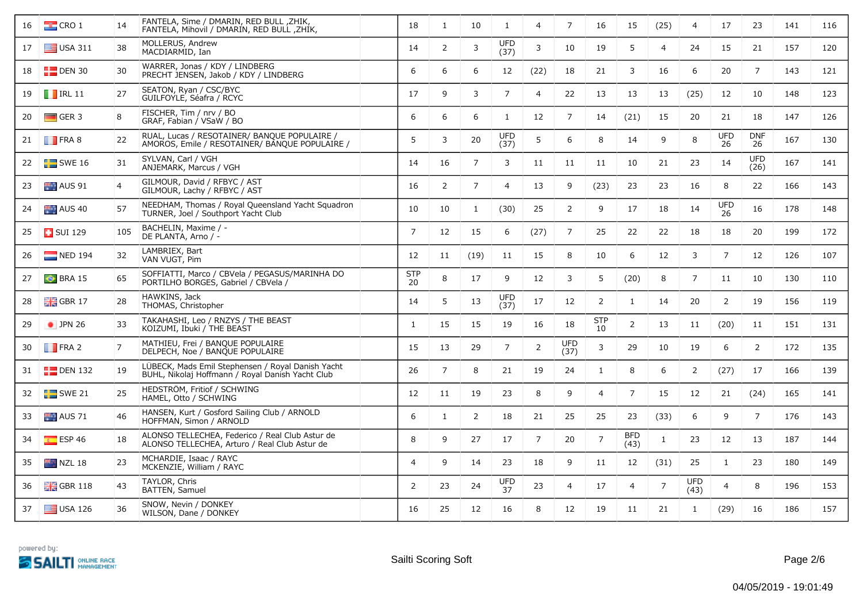| 16 | $\frac{1}{2}$ CRO 1    | 14             | FANTELA, Sime / DMARIN, RED BULL, ZHIK,<br>FANTELA, Mihovil / DMARIN, RED BULL, ZHIK,                 | 18                       | 1              | 10             | $\mathbf{1}$       | 4              | $\overline{7}$     | 16               | 15                 | (25)           | $\overline{4}$     | 17               | 23                 | 141 | 116 |
|----|------------------------|----------------|-------------------------------------------------------------------------------------------------------|--------------------------|----------------|----------------|--------------------|----------------|--------------------|------------------|--------------------|----------------|--------------------|------------------|--------------------|-----|-----|
| 17 | $\equiv$ USA 311       | 38             | MOLLERUS, Andrew<br>MACDIARMID, Ian                                                                   | 14                       | 2              | 3              | <b>UFD</b><br>(37) | 3              | 10                 | 19               | 5                  | $\overline{4}$ | 24                 | 15               | 21                 | 157 | 120 |
| 18 | $E$ DEN 30             | 30             | WARRER, Jonas / KDY / LINDBERG<br>PRECHT JENSEN, Jakob / KDY / LINDBERG                               | 6                        | 6              | 6              | 12                 | (22)           | 18                 | 21               | 3                  | 16             | 6                  | 20               | $\overline{7}$     | 143 | 121 |
| 19 | $\blacksquare$ IRL 11  | 27             | SEATON, Ryan / CSC/BYC<br>GUILFOYLE, Séafra / RCYC                                                    | 17                       | 9              | 3              | $\overline{7}$     | $\overline{4}$ | 22                 | 13               | 13                 | 13             | (25)               | 12               | 10                 | 148 | 123 |
| 20 | $\Box$ GER 3           | 8              | FISCHER, Tim / nrv / BO<br>GRAF, Fabian / VSaW / BO                                                   | 6                        | 6              | 6              | 1                  | 12             | $\overline{7}$     | 14               | (21)               | 15             | 20                 | 21               | 18                 | 147 | 126 |
| 21 | $\blacksquare$ FRA 8   | 22             | RUAL, Lucas / RESOTAINER/ BANQUE POPULAIRE /<br>AMOROS, Emile / RESOTAINER/ BANQUE POPULAIRE /        | 5                        | 3              | 20             | <b>UFD</b><br>(37) | 5              | 6                  | 8                | 14                 | 9              | 8                  | <b>UFD</b><br>26 | <b>DNF</b><br>26   | 167 | 130 |
| 22 | SWE16                  | 31             | SYLVAN, Carl / VGH<br>ANJEMARK, Marcus / VGH                                                          | 14                       | 16             | $\overline{7}$ | 3                  | 11             | 11                 | 11               | 10                 | 21             | 23                 | 14               | <b>UFD</b><br>(26) | 167 | 141 |
| 23 | AUS 91                 | 4              | GILMOUR, David / RFBYC / AST<br>GILMOUR, Lachy / RFBYC / AST                                          | 16                       | 2              | $\overline{7}$ | $\overline{4}$     | 13             | 9                  | (23)             | 23                 | 23             | 16                 | 8                | 22                 | 166 | 143 |
| 24 | AUS 40                 | 57             | NEEDHAM, Thomas / Royal Queensland Yacht Squadron<br>TURNER, Joel / Southport Yacht Club              | 10                       | 10             | $\mathbf{1}$   | (30)               | 25             | $\overline{2}$     | 9                | 17                 | 18             | 14                 | <b>UFD</b><br>26 | 16                 | 178 | 148 |
| 25 | $\Box$ SUI 129         | 105            | BACHELIN, Maxime / -<br>DE PLANTA, Arno / -                                                           | $\overline{7}$           | 12             | 15             | 6                  | (27)           | $\overline{7}$     | 25               | 22                 | 22             | 18                 | 18               | 20                 | 199 | 172 |
| 26 | $\blacksquare$ NED 194 | 32             | LAMBRIEX, Bart<br>VAN VUGT, Pim                                                                       | 12                       | 11             | (19)           | 11                 | 15             | 8                  | 10               | 6                  | 12             | 3                  | $\overline{7}$   | 12                 | 126 | 107 |
| 27 | $\bullet$ BRA 15       | 65             | SOFFIATTI, Marco / CBVela / PEGASUS/MARINHA DO<br>PORTILHO BORGES, Gabriel / CBVela /                 | <b>STP</b><br>20         | 8              | 17             | 9                  | 12             | 3                  | 5                | (20)               | 8              | $\overline{7}$     | 11               | 10                 | 130 | 110 |
| 28 | $\frac{1}{2}$ GBR 17   | 28             | HAWKINS, Jack<br>THOMAS, Christopher                                                                  | 14                       | 5              | 13             | <b>UFD</b><br>(37) | 17             | 12                 | 2                | $\mathbf{1}$       | 14             | 20                 | $\overline{2}$   | 19                 | 156 | 119 |
| 29 | $\bullet$ JPN 26       | 33             | TAKAHASHI, Leo / RNZYS / THE BEAST<br>KOIZUMI, Ibuki / THE BEAST                                      | $\mathbf{1}$             | 15             | 15             | 19                 | 16             | 18                 | <b>STP</b><br>10 | $\overline{2}$     | 13             | 11                 | (20)             | 11                 | 151 | 131 |
| 30 | $\blacksquare$ FRA 2   | $\overline{7}$ | MATHIEU, Frei / BANQUE POPULAIRE<br>DELPECH, Noe / BANQUE POPULAIRE                                   | 15                       | 13             | 29             | $\overline{7}$     | $\overline{2}$ | <b>UFD</b><br>(37) | 3                | 29                 | 10             | 19                 | 6                | 2                  | 172 | 135 |
| 31 | $\Box$ DEN 132         | 19             | LÜBECK, Mads Emil Stephensen / Royal Danish Yacht<br>BUHL, Nikolaj Hoffmann / Royal Danish Yacht Club | 26                       | $\overline{7}$ | 8              | 21                 | 19             | 24                 | 1                | 8                  | 6              | 2                  | (27)             | 17                 | 166 | 139 |
| 32 | $\blacksquare$ SWE 21  | 25             | HEDSTRÖM, Fritiof / SCHWING<br>HAMEL, Otto / SCHWING                                                  | 12                       | 11             | 19             | 23                 | 8              | 9                  | $\overline{4}$   | $\overline{7}$     | 15             | 12                 | 21               | (24)               | 165 | 141 |
| 33 | AUS 71                 | 46             | HANSEN, Kurt / Gosford Sailing Club / ARNOLD<br>HOFFMAN, Simon / ARNOLD                               | 6                        | 1              | 2              | 18                 | 21             | 25                 | 25               | 23                 | (33)           | 6                  | 9                | $\overline{7}$     | 176 | 143 |
| 34 | $E = ESP 46$           | 18             | ALONSO TELLECHEA, Federico / Real Club Astur de<br>ALONSO TELLECHEA, Arturo / Real Club Astur de      | 8                        | 9              | 27             | 17                 | $\overline{7}$ | 20                 | $\overline{7}$   | <b>BFD</b><br>(43) | $\mathbf{1}$   | 23                 | 12               | 13                 | 187 | 144 |
| 35 | $NZL$ 18               | 23             | MCHARDIE, Isaac / RAYC<br>MCKENZIE, William / RAYC                                                    | $\overline{\mathcal{A}}$ | 9              | 14             | 23                 | 18             | 9                  | 11               | 12                 | (31)           | 25                 | $\mathbf{1}$     | 23                 | 180 | 149 |
| 36 | $\frac{1}{26}$ GBR 118 | 43             | TAYLOR, Chris<br><b>BATTEN, Samuel</b>                                                                | 2                        | 23             | 24             | <b>UFD</b><br>37   | 23             | 4                  | 17               | $\overline{4}$     | $\overline{7}$ | <b>UFD</b><br>(43) | $\overline{4}$   | 8                  | 196 | 153 |
| 37 | $\equiv$ USA 126       | 36             | SNOW, Nevin / DONKEY<br>WILSON, Dane / DONKEY                                                         | 16                       | 25             | 12             | 16                 | 8              | 12                 | 19               | 11                 | 21             | $\mathbf{1}$       | (29)             | 16                 | 186 | 157 |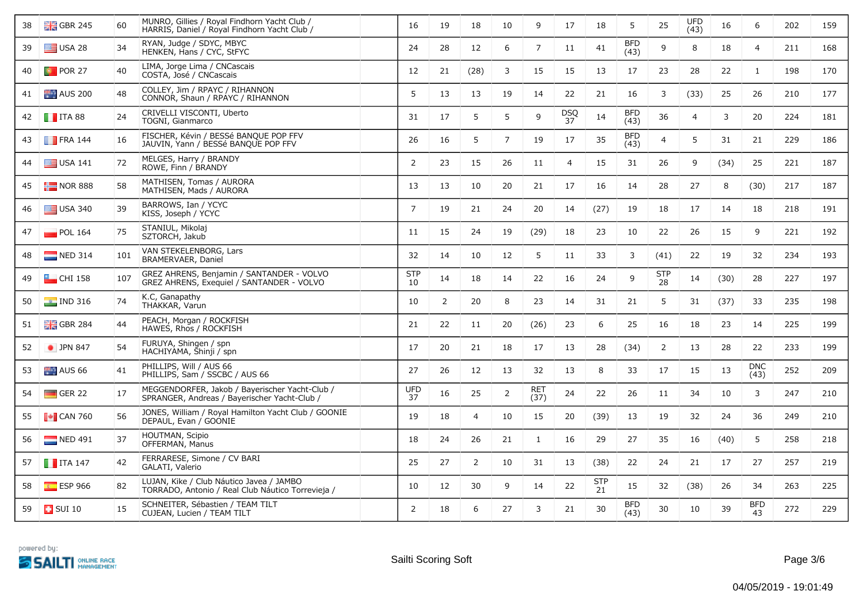| 38 | $\frac{12}{16}$ GBR 245   | 60  | MUNRO, Gillies / Royal Findhorn Yacht Club /<br>HARRIS, Daniel / Royal Findhorn Yacht Club /   | 16               | 19 | 18             | 10             | 9                  | 17               | 18               | 5                  | 25               | <b>UFD</b><br>(43) | 16   | 6                  | 202 | 159 |
|----|---------------------------|-----|------------------------------------------------------------------------------------------------|------------------|----|----------------|----------------|--------------------|------------------|------------------|--------------------|------------------|--------------------|------|--------------------|-----|-----|
| 39 | $\equiv$ USA 28           | 34  | RYAN, Judge / SDYC, MBYC<br>HENKEN, Hans / CYC, StFYC                                          | 24               | 28 | 12             | 6              | $\overline{7}$     | 11               | 41               | <b>BFD</b><br>(43) | 9                | 8                  | 18   | $\overline{4}$     | 211 | 168 |
| 40 | <b>D</b> POR 27           | 40  | LIMA, Jorge Lima / CNCascais<br>COSTA, José / CNCascais                                        | 12               | 21 | (28)           | 3              | 15                 | 15               | 13               | 17                 | 23               | 28                 | 22   | 1                  | 198 | 170 |
| 41 | $\blacksquare$ AUS 200    | 48  | COLLEY, Jim / RPAYC / RIHANNON<br>CONNOR, Shaun / RPAYC / RIHANNON                             | 5                | 13 | 13             | 19             | 14                 | 22               | 21               | 16                 | 3                | (33)               | 25   | 26                 | 210 | 177 |
| 42 | $\blacksquare$ ITA 88     | 24  | CRIVELLI VISCONTI, Uberto<br>TOGNI, Gianmarco                                                  | 31               | 17 | 5              | 5              | 9                  | <b>DSQ</b><br>37 | 14               | <b>BFD</b><br>(43) | 36               | $\overline{4}$     | 3    | 20                 | 224 | 181 |
| 43 | $\blacksquare$ FRA 144    | 16  | FISCHER, Kévin / BESSé BANQUE POP FFV<br>JAUVIN, Yann / BESSé BANQUE POP FFV                   | 26               | 16 | 5              | $\overline{7}$ | 19                 | 17               | 35               | <b>BFD</b><br>(43) | 4                | 5                  | 31   | 21                 | 229 | 186 |
| 44 | $\equiv$ USA 141          | 72  | MELGES, Harry / BRANDY<br>ROWE, Finn / BRANDY                                                  | 2                | 23 | 15             | 26             | 11                 | $\overline{4}$   | 15               | 31                 | 26               | 9                  | (34) | 25                 | 221 | 187 |
| 45 | $\frac{1}{2}$ NOR 888     | 58  | MATHISEN, Tomas / AURORA<br>MATHISEN, Mads / AURORA                                            | 13               | 13 | 10             | 20             | 21                 | 17               | 16               | 14                 | 28               | 27                 | 8    | (30)               | 217 | 187 |
| 46 | $\equiv$ USA 340          | 39  | BARROWS, Ian / YCYC<br>KISS, Joseph / YCYC                                                     | $\overline{7}$   | 19 | 21             | 24             | 20                 | 14               | (27)             | 19                 | 18               | 17                 | 14   | 18                 | 218 | 191 |
| 47 | $\blacksquare$ POL 164    | 75  | STANIUL, Mikolaj<br>SZTORCH, Jakub                                                             | 11               | 15 | 24             | 19             | (29)               | 18               | 23               | 10                 | 22               | 26                 | 15   | 9                  | 221 | 192 |
| 48 | NED 314                   | 101 | VAN STEKELENBORG, Lars<br>BRAMERVAER, Daniel                                                   | 32               | 14 | 10             | 12             | 5                  | 11               | 33               | 3                  | (41)             | 22                 | 19   | 32                 | 234 | 193 |
| 49 | $\Box$ CHI 158            | 107 | GREZ AHRENS, Benjamin / SANTANDER - VOLVO<br>GREZ AHRENS, Exequiel / SANTANDER - VOLVO         | <b>STP</b><br>10 | 14 | 18             | 14             | 22                 | 16               | 24               | 9                  | <b>STP</b><br>28 | 14                 | (30) | 28                 | 227 | 197 |
| 50 | $\boxed{\bullet}$ IND 316 | 74  | K.C. Ganapathy<br>THAKKAR, Varun                                                               | 10               | 2  | 20             | 8              | 23                 | 14               | 31               | 21                 | 5                | 31                 | (37) | 33                 | 235 | 198 |
| 51 | $\frac{1}{2}$ GBR 284     | 44  | PEACH, Morgan / ROCKFISH<br>HAWES, Rhos / ROCKFISH                                             | 21               | 22 | 11             | 20             | (26)               | 23               | 6                | 25                 | 16               | 18                 | 23   | 14                 | 225 | 199 |
| 52 | $\bullet$ JPN 847         | 54  | FURUYA, Shingen / spn<br>HACHIYAMA, Shinji / spn                                               | 17               | 20 | 21             | 18             | 17                 | 13               | 28               | (34)               | $\overline{2}$   | 13                 | 28   | 22                 | 233 | 199 |
| 53 | $M =$ AUS 66              | 41  | PHILLIPS, Will / AUS 66<br>PHILLIPS, Sam / SSCBC / AUS 66                                      | 27               | 26 | 12             | 13             | 32                 | 13               | 8                | 33                 | 17               | 15                 | 13   | <b>DNC</b><br>(43) | 252 | 209 |
| 54 | $\blacksquare$ GER 22     | 17  | MEGGENDORFER, Jakob / Bayerischer Yacht-Club /<br>SPRANGER, Andreas / Bayerischer Yacht-Club / | <b>UFD</b><br>37 | 16 | 25             | 2              | <b>RET</b><br>(37) | 24               | 22               | 26                 | 11               | 34                 | 10   | 3                  | 247 | 210 |
| 55 | $\blacksquare$ CAN 760    | 56  | JONES, William / Royal Hamilton Yacht Club / GOONIE<br>DEPAUL, Evan / GOONIE                   | 19               | 18 | $\overline{4}$ | 10             | 15                 | 20               | (39)             | 13                 | 19               | 32                 | 24   | 36                 | 249 | 210 |
| 56 | $\blacksquare$ NED 491    | 37  | HOUTMAN, Scipio<br>OFFERMAN, Manus                                                             | 18               | 24 | 26             | 21             | $\mathbf{1}$       | 16               | 29               | 27                 | 35               | 16                 | (40) | 5                  | 258 | 218 |
| 57 | $\blacksquare$ ITA 147    | 42  | FERRARESE, Simone / CV BARI<br>GALATI, Valerio                                                 | 25               | 27 | 2              | 10             | 31                 | 13               | (38)             | 22                 | 24               | 21                 | 17   | 27                 | 257 | 219 |
| 58 | $E$ ESP 966               | 82  | LUJAN, Kike / Club Náutico Javea / JAMBO<br>TORRADO, Antonio / Real Club Náutico Torrevieja /  | 10               | 12 | 30             | 9              | 14                 | 22               | <b>STP</b><br>21 | 15                 | 32               | (38)               | 26   | 34                 | 263 | 225 |
| 59 | $\Box$ SUI 10             | 15  | SCHNEITER, Sébastien / TEAM TILT<br>CUJEAN, Lucien / TEAM TILT                                 | 2                | 18 | 6              | 27             | 3                  | 21               | 30               | <b>BFD</b><br>(43) | 30               | 10                 | 39   | <b>BFD</b><br>43   | 272 | 229 |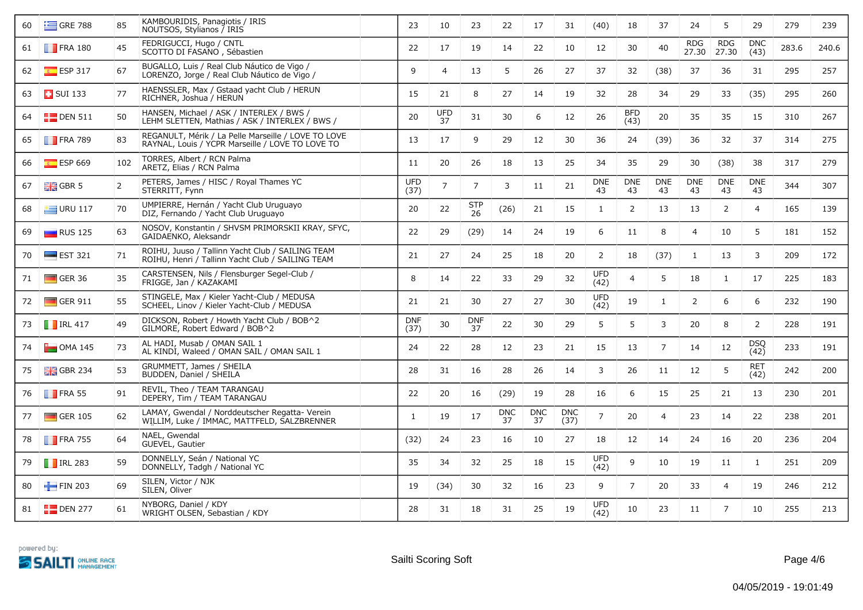| 60 | $\equiv$ GRE 788       | 85             | KAMBOURIDIS, Panagiotis / IRIS<br>NOUTSOS, Stylianos / IRIS                                             | 23                 | 10               | 23               | 22               | 17               | 31                 | (40)               | 18                 | 37               | 24                  | 5                   | 29                 | 279   | 239   |
|----|------------------------|----------------|---------------------------------------------------------------------------------------------------------|--------------------|------------------|------------------|------------------|------------------|--------------------|--------------------|--------------------|------------------|---------------------|---------------------|--------------------|-------|-------|
| 61 | $\blacksquare$ FRA 180 | 45             | FEDRIGUCCI, Hugo / CNTL<br>SCOTTO DI FASANO, Sébastien                                                  | 22                 | 17               | 19               | 14               | 22               | 10                 | 12                 | 30                 | 40               | <b>RDG</b><br>27.30 | <b>RDG</b><br>27.30 | <b>DNC</b><br>(43) | 283.6 | 240.6 |
| 62 | $E = ESP 317$          | 67             | BUGALLO, Luis / Real Club Náutico de Vigo /<br>LORENZO, Jorge / Real Club Náutico de Vigo /             | 9                  | $\overline{4}$   | 13               | 5                | 26               | 27                 | 37                 | 32                 | (38)             | 37                  | 36                  | 31                 | 295   | 257   |
| 63 | <b>B</b> SUI 133       | 77             | HAENSSLER, Max / Gstaad yacht Club / HERUN<br>RICHNER, Joshua / HERUN                                   | 15                 | 21               | 8                | 27               | 14               | 19                 | 32                 | 28                 | 34               | 29                  | 33                  | (35)               | 295   | 260   |
| 64 | $\Box$ DEN 511         | 50             | HANSEN, Michael / ASK / INTERLEX / BWS /<br>LEHM SLETTEN, Mathias / ASK / INTERLEX / BWS /              | 20                 | <b>UFD</b><br>37 | 31               | 30               | 6                | 12                 | 26                 | <b>BFD</b><br>(43) | 20               | 35                  | 35                  | 15                 | 310   | 267   |
| 65 | $\blacksquare$ FRA 789 | 83             | REGANULT, Mérik / La Pelle Marseille / LOVE TO LOVE<br>RAYNAL, Louis / YCPR Marseille / LOVE TO LOVE TO | 13                 | 17               | 9                | 29               | 12               | 30                 | 36                 | 24                 | (39)             | 36                  | 32                  | 37                 | 314   | 275   |
| 66 | $E$ ESP 669            | 102            | TORRES, Albert / RCN Palma<br>ARETZ, Elias / RCN Palma                                                  | 11                 | 20               | 26               | 18               | 13               | 25                 | 34                 | 35                 | 29               | 30                  | (38)                | 38                 | 317   | 279   |
| 67 | $\frac{1}{2}$ GBR 5    | $\overline{2}$ | PETERS, James / HISC / Royal Thames YC<br>STERRITT, Fynn                                                | <b>UFD</b><br>(37) | $\overline{7}$   | $\overline{7}$   | 3                | 11               | 21                 | <b>DNE</b><br>43   | <b>DNE</b><br>43   | <b>DNE</b><br>43 | <b>DNE</b><br>43    | <b>DNE</b><br>43    | <b>DNE</b><br>43   | 344   | 307   |
| 68 | $\equiv$ URU 117       | 70             | UMPIERRE, Hernán / Yacht Club Uruguayo<br>DIZ, Fernando / Yacht Club Uruguayo                           | 20                 | 22               | <b>STP</b><br>26 | (26)             | 21               | 15                 | 1                  | 2                  | 13               | 13                  | 2                   | $\overline{4}$     | 165   | 139   |
| 69 | $\blacksquare$ RUS 125 | 63             | NOSOV, Konstantin / SHVSM PRIMORSKII KRAY, SFYC,<br>GAIDAENKO, Aleksandr                                | 22                 | 29               | (29)             | 14               | 24               | 19                 | 6                  | 11                 | 8                | 4                   | 10                  | 5                  | 181   | 152   |
| 70 | $\equiv$ EST 321       | 71             | ROIHU, Juuso / Tallinn Yacht Club / SAILING TEAM<br>ROIHU, Henri / Tallinn Yacht Club / SAILING TEAM    | 21                 | 27               | 24               | 25               | 18               | 20                 | 2                  | 18                 | (37)             | $\mathbf{1}$        | 13                  | $\overline{3}$     | 209   | 172   |
| 71 | $\Box$ GER 36          | 35             | CARSTENSEN, Nils / Flensburger Segel-Club /<br>FRIGGE, Jan / KAZAKAMI                                   | 8                  | 14               | 22               | 33               | 29               | 32                 | <b>UFD</b><br>(42) | $\overline{4}$     | 5                | 18                  | 1                   | 17                 | 225   | 183   |
| 72 | $\Box$ GER 911         | 55             | STINGELE, Max / Kieler Yacht-Club / MEDUSA<br>SCHEEL, Linov / Kieler Yacht-Club / MEDUSA                | 21                 | 21               | 30               | 27               | 27               | 30                 | <b>UFD</b><br>(42) | 19                 | $\mathbf{1}$     | 2                   | 6                   | 6                  | 232   | 190   |
| 73 | $\blacksquare$ IRL 417 | 49             | DICKSON, Robert / Howth Yacht Club / BOB^2<br>GILMORE, Robert Edward / BOB^2                            | <b>DNF</b><br>(37) | 30               | <b>DNF</b><br>37 | 22               | 30               | 29                 | 5                  | 5                  | 3                | 20                  | 8                   | 2                  | 228   | 191   |
| 74 | $\Box$ OMA 145         | 73             | AL HADI, Musab / OMAN SAIL 1<br>AL KINDI, Waleed / OMAN SAIL / OMAN SAIL 1                              | 24                 | 22               | 28               | 12               | 23               | 21                 | 15                 | 13                 | $\overline{7}$   | 14                  | 12                  | <b>DSQ</b><br>(42) | 233   | 191   |
| 75 | $\frac{1}{26}$ GBR 234 | 53             | GRUMMETT, James / SHEILA<br>BUDDEN, Daniel / SHEILA                                                     | 28                 | 31               | 16               | 28               | 26               | 14                 | 3                  | 26                 | 11               | 12                  | 5                   | RET<br>(42)        | 242   | 200   |
| 76 | $\blacksquare$ FRA 55  | 91             | REVIL, Theo / TEAM TARANGAU<br>DEPERY, Tim / TEAM TARANGAU                                              | 22                 | 20               | 16               | (29)             | 19               | 28                 | 16                 | 6                  | 15               | 25                  | 21                  | 13                 | 230   | 201   |
| 77 | $\Box$ GER 105         | 62             | LAMAY, Gwendal / Norddeutscher Regatta- Verein<br>WILLIM, Luke / IMMAC, MATTFELD, SALZBRENNER           | $\mathbf{1}$       | 19               | 17               | <b>DNC</b><br>37 | <b>DNC</b><br>37 | <b>DNC</b><br>(37) | $\overline{7}$     | 20                 | $\overline{4}$   | 23                  | 14                  | 22                 | 238   | 201   |
| 78 | $\blacksquare$ FRA 755 | 64             | NAEL, Gwendal<br>GUEVEL, Gautier                                                                        | (32)               | 24               | 23               | 16               | 10               | 27                 | 18                 | 12                 | 14               | 24                  | 16                  | 20                 | 236   | 204   |
| 79 | $\blacksquare$ IRL 283 | 59             | DONNELLY, Seán / National YC<br>DONNELLY, Tadgh / National YC                                           | 35                 | 34               | 32               | 25               | 18               | 15                 | <b>UFD</b><br>(42) | 9                  | 10               | 19                  | 11                  | 1                  | 251   | 209   |
| 80 | FIN 203                | 69             | SILÉN, Victor / NJK<br>SILÉN, Oliver                                                                    | 19                 | (34)             | 30               | 32               | 16               | 23                 | 9                  | $\overline{7}$     | 20               | 33                  | 4                   | 19                 | 246   | 212   |
| 81 | $\blacksquare$ DEN 277 | 61             | NYBORG, Daniel / KDY<br>WRIGHT OLSEN, Sebastian / KDY                                                   | 28                 | 31               | 18               | 31               | 25               | 19                 | <b>UFD</b><br>(42) | 10                 | 23               | 11                  | 7                   | 10                 | 255   | 213   |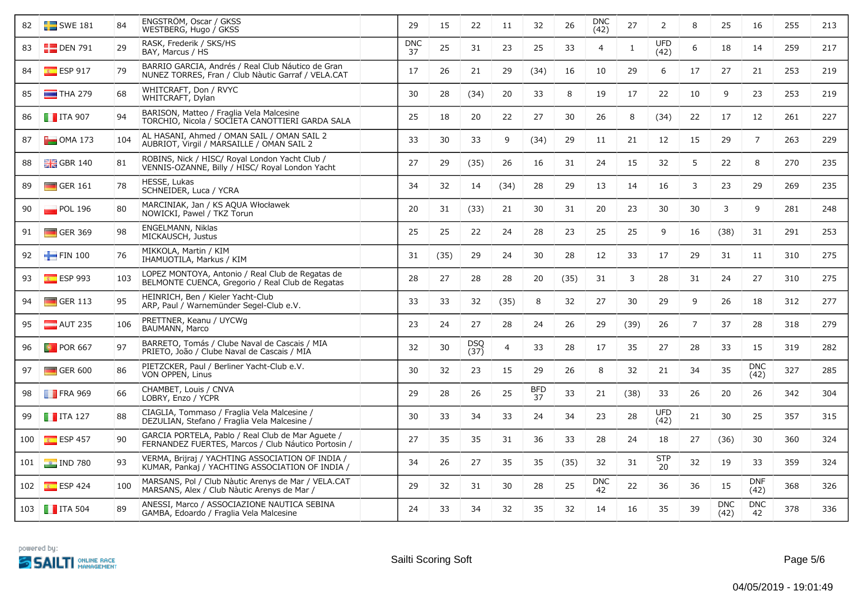| 82  | $\blacksquare$ SWE 181 | 84  | ENGSTROM, Oscar / GKSS<br>WESTBERG, Hugo / GKSS                                                          | 29               | 15   | 22          | 11             | 32               | 26   | <b>DNC</b><br>(42) | 27           | $\overline{2}$     | 8              | 25                 | 16                 | 255 | 213 |
|-----|------------------------|-----|----------------------------------------------------------------------------------------------------------|------------------|------|-------------|----------------|------------------|------|--------------------|--------------|--------------------|----------------|--------------------|--------------------|-----|-----|
| 83  | $\Box$ DEN 791         | 29  | RASK, Frederik / SKS/HS<br>BAY, Marcus / HS                                                              | <b>DNC</b><br>37 | 25   | 31          | 23             | 25               | 33   | $\overline{4}$     | $\mathbf{1}$ | <b>UFD</b><br>(42) | 6              | 18                 | 14                 | 259 | 217 |
| 84  | $\frac{1}{16}$ ESP 917 | 79  | BARRIO GARCIA, Andrés / Real Club Náutico de Gran<br>NUNEZ TORRES, Fran / Club Nàutic Garraf / VELA.CAT  | 17               | 26   | 21          | 29             | (34)             | 16   | 10                 | 29           | 6                  | 17             | 27                 | 21                 | 253 | 219 |
| 85  | $\blacksquare$ THA 279 | 68  | WHITCRAFT, Don / RVYC<br>WHITCRAFT, Dylan                                                                | 30               | 28   | (34)        | 20             | 33               | 8    | 19                 | 17           | 22                 | 10             | 9                  | 23                 | 253 | 219 |
| 86  | $\blacksquare$ ITA 907 | 94  | BARISON, Matteo / Fraglia Vela Malcesine<br>TORCHIO, Nicola / SOCIETA CANOTTIERI GARDA SALA              | 25               | 18   | 20          | 22             | 27               | 30   | 26                 | 8            | (34)               | 22             | 17                 | 12                 | 261 | 227 |
| 87  | $\Box$ OMA 173         | 104 | AL HASANI, Ahmed / OMAN SAIL / OMAN SAIL 2<br>AUBRIOT, Virgil / MARSAILLE / OMAN SAIL 2                  | 33               | 30   | 33          | 9              | (34)             | 29   | 11                 | 21           | 12                 | 15             | 29                 | $\overline{7}$     | 263 | 229 |
| 88  | $GBR$ 140              | 81  | ROBINS, Nick / HISC/ Royal London Yacht Club /<br>VENNIS-OZANNE, Billy / HISC/ Roval London Yacht        | 27               | 29   | (35)        | 26             | 16               | 31   | 24                 | 15           | 32                 | 5              | 22                 | 8                  | 270 | 235 |
| 89  | $\Box$ GER 161         | 78  | HESSE, Lukas<br>SCHNEIDER, Luca / YCRA                                                                   | 34               | 32   | 14          | (34)           | 28               | 29   | 13                 | 14           | 16                 | 3              | 23                 | 29                 | 269 | 235 |
| 90  | $\blacksquare$ POL 196 | 80  | MARCINIAK, Jan / KS AQUA Włocławek<br>NOWICKI, Pawel / TKZ Torun                                         | 20               | 31   | (33)        | 21             | 30               | 31   | 20                 | 23           | 30                 | 30             | 3                  | 9                  | 281 | 248 |
| 91  | $\Box$ GER 369         | 98  | ENGELMANN, Niklas<br>MICKAUSCH, Justus                                                                   | 25               | 25   | 22          | 24             | 28               | 23   | 25                 | 25           | 9                  | 16             | (38)               | 31                 | 291 | 253 |
| 92  | $\blacksquare$ FIN 100 | 76  | MIKKOLA, Martin / KIM<br>IHAMUOTILA, Markus / KIM                                                        | 31               | (35) | 29          | 24             | 30               | 28   | 12                 | 33           | 17                 | 29             | 31                 | 11                 | 310 | 275 |
| 93  | ESP993                 | 103 | LOPEZ MONTOYA, Antonio / Real Club de Regatas de<br>BELMONTE CUENCA, Gregorio / Real Club de Regatas     | 28               | 27   | 28          | 28             | 20               | (35) | 31                 | 3            | 28                 | 31             | 24                 | 27                 | 310 | 275 |
| 94  | $\Box$ GER 113         | 95  | HEINRICH, Ben / Kieler Yacht-Club<br>ARP, Paul / Warnemünder Segel-Club e.V.                             | 33               | 33   | 32          | (35)           | 8                | 32   | 27                 | 30           | 29                 | 9              | 26                 | 18                 | 312 | 277 |
| 95  | $\blacksquare$ AUT 235 | 106 | PRETTNER, Keanu / UYCWg<br>BAUMANN, Marco                                                                | 23               | 24   | 27          | 28             | 24               | 26   | 29                 | (39)         | 26                 | $\overline{7}$ | 37                 | 28                 | 318 | 279 |
| 96  | <b>D</b> POR 667       | 97  | BARRETO, Tomás / Clube Naval de Cascais / MIA<br>PRIETO, João / Clube Naval de Cascais / MIA             | 32               | 30   | DSQ<br>(37) | $\overline{4}$ | 33               | 28   | 17                 | 35           | 27                 | 28             | 33                 | 15                 | 319 | 282 |
| 97  | $\Box$ GER 600         | 86  | PIETZCKER, Paul / Berliner Yacht-Club e.V.<br>VON OPPEN, Linus                                           | 30               | 32   | 23          | 15             | 29               | 26   | 8                  | 32           | 21                 | 34             | 35                 | <b>DNC</b><br>(42) | 327 | 285 |
| 98  | <b>FRA 969</b>         | 66  | CHAMBET, Louis / CNVA<br>LOBRY, Enzo / YCPR                                                              | 29               | 28   | 26          | 25             | <b>BFD</b><br>37 | 33   | 21                 | (38)         | 33                 | 26             | 20                 | 26                 | 342 | 304 |
| 99  | $\blacksquare$ ITA 127 | 88  | CIAGLIA, Tommaso / Fraglia Vela Malcesine /<br>DEZULIAN, Stefano / Fraglia Vela Malcesine /              | 30               | 33   | 34          | 33             | 24               | 34   | 23                 | 28           | UFD<br>(42)        | 21             | 30                 | 25                 | 357 | 315 |
| 100 | $E$ ESP 457            | 90  | GARCÍA PORTELA, Pablo / Real Club de Mar Aguete /<br>FERNANDEZ FUERTES, Marcos / Club Náutico Portosin / | 27               | 35   | 35          | 31             | 36               | 33   | 28                 | 24           | 18                 | 27             | (36)               | 30                 | 360 | 324 |
| 101 | $\frac{1}{2}$ IND 780  | 93  | VERMA, Brijraj / YACHTING ASSOCIATION OF INDIA /<br>KUMAR, Pankaj / YACHTING ASSOCIATION OF INDIA /      | 34               | 26   | 27          | 35             | 35               | (35) | 32                 | 31           | <b>STP</b><br>20   | 32             | 19                 | 33                 | 359 | 324 |
| 102 | $E$ ESP 424            | 100 | MARSANS, Pol / Club Nàutic Arenys de Mar / VELA.CAT<br>MARSANS, Alex / Club Nàutic Arenys de Mar /       | 29               | 32   | 31          | 30             | 28               | 25   | <b>DNC</b><br>42   | 22           | 36                 | 36             | 15                 | <b>DNF</b><br>(42) | 368 | 326 |
|     | 103 <b>T</b> ITA 504   | 89  | ANESSI, Marco / ASSOCIAZIONE NAUTICA SEBINA<br>GAMBA, Edoardo / Fraglia Vela Malcesine                   | 24               | 33   | 34          | 32             | 35               | 32   | 14                 | 16           | 35                 | 39             | <b>DNC</b><br>(42) | <b>DNC</b><br>42   | 378 | 336 |